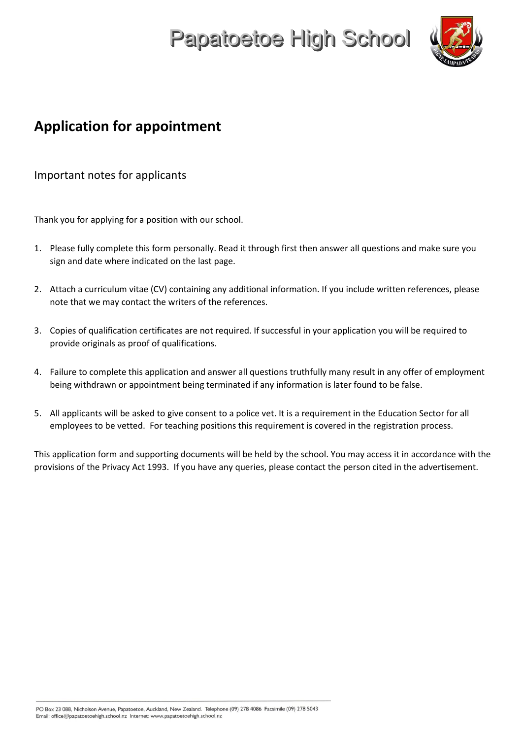

### **Application for appointment**

Important notes for applicants

Thank you for applying for a position with our school.

- 1. Please fully complete this form personally. Read it through first then answer all questions and make sure you sign and date where indicated on the last page.
- 2. Attach a curriculum vitae (CV) containing any additional information. If you include written references, please note that we may contact the writers of the references.
- 3. Copies of qualification certificates are not required. If successful in your application you will be required to provide originals as proof of qualifications.
- 4. Failure to complete this application and answer all questions truthfully many result in any offer of employment being withdrawn or appointment being terminated if any information is later found to be false.
- 5. All applicants will be asked to give consent to a police vet. It is a requirement in the Education Sector for all employees to be vetted. For teaching positions this requirement is covered in the registration process.

This application form and supporting documents will be held by the school. You may access it in accordance with the provisions of the Privacy Act 1993. If you have any queries, please contact the person cited in the advertisement.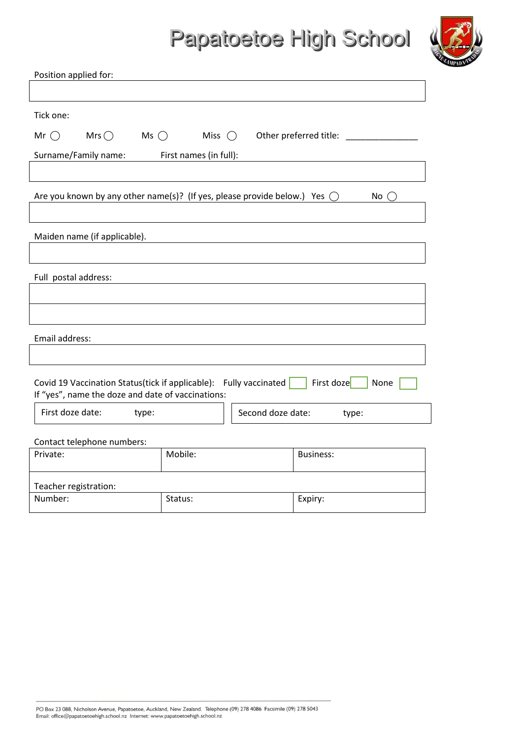

| Position applied for:                                                                                                                        |                        |                            |  |
|----------------------------------------------------------------------------------------------------------------------------------------------|------------------------|----------------------------|--|
|                                                                                                                                              |                        |                            |  |
| Tick one:                                                                                                                                    |                        |                            |  |
| $Mrs$ $\bigcirc$ $Ms$ $\bigcirc$<br>Mr $\bigcap$                                                                                             | Miss $\bigcirc$        | Other preferred title: ___ |  |
| Surname/Family name:                                                                                                                         | First names (in full): |                            |  |
|                                                                                                                                              |                        |                            |  |
| Are you known by any other name(s)? (If yes, please provide below.) Yes $\bigcirc$                                                           |                        | No                         |  |
| Maiden name (if applicable).                                                                                                                 |                        |                            |  |
|                                                                                                                                              |                        |                            |  |
| Full postal address:                                                                                                                         |                        |                            |  |
|                                                                                                                                              |                        |                            |  |
|                                                                                                                                              |                        |                            |  |
| Email address:                                                                                                                               |                        |                            |  |
|                                                                                                                                              |                        |                            |  |
| First doze<br>Covid 19 Vaccination Status(tick if applicable): Fully vaccinated<br>None<br>If "yes", name the doze and date of vaccinations: |                        |                            |  |
| First doze date:<br>Second doze date:<br>type:<br>type:                                                                                      |                        |                            |  |
| Contact telephone numbers:                                                                                                                   |                        |                            |  |
| Private:                                                                                                                                     | Mobile:                | <b>Business:</b>           |  |
| Teacher registration:                                                                                                                        |                        |                            |  |
| Number:                                                                                                                                      | Status:                | Expiry:                    |  |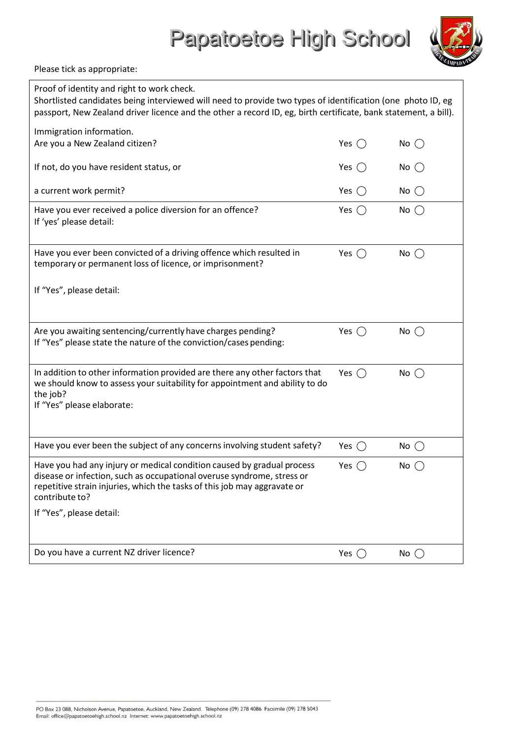Please tick as appropriate:

| Proof of identity and right to work check.<br>Shortlisted candidates being interviewed will need to provide two types of identification (one photo ID, eg<br>passport, New Zealand driver licence and the other a record ID, eg, birth certificate, bank statement, a bill). |                |               |  |
|------------------------------------------------------------------------------------------------------------------------------------------------------------------------------------------------------------------------------------------------------------------------------|----------------|---------------|--|
| Immigration information.<br>Are you a New Zealand citizen?                                                                                                                                                                                                                   | Yes $\bigcirc$ | No $\bigcirc$ |  |
| If not, do you have resident status, or                                                                                                                                                                                                                                      | Yes $\bigcirc$ | $No$ $()$     |  |
| a current work permit?                                                                                                                                                                                                                                                       | Yes $()$       | $No$ $()$     |  |
| Have you ever received a police diversion for an offence?<br>If 'yes' please detail:                                                                                                                                                                                         | Yes $\bigcap$  | $No$ $()$     |  |
| Have you ever been convicted of a driving offence which resulted in<br>temporary or permanent loss of licence, or imprisonment?                                                                                                                                              | Yes $\bigcap$  | No $\bigcirc$ |  |
| If "Yes", please detail:                                                                                                                                                                                                                                                     |                |               |  |
| Are you awaiting sentencing/currently have charges pending?<br>If "Yes" please state the nature of the conviction/cases pending:                                                                                                                                             | Yes $\bigcap$  | No $\bigcap$  |  |
| In addition to other information provided are there any other factors that<br>we should know to assess your suitability for appointment and ability to do<br>the job?<br>If "Yes" please elaborate:                                                                          | Yes $\bigcap$  | No $\bigcap$  |  |
| Have you ever been the subject of any concerns involving student safety?                                                                                                                                                                                                     | Yes $\bigcirc$ | $No$ $()$     |  |
| Have you had any injury or medical condition caused by gradual process<br>disease or infection, such as occupational overuse syndrome, stress or<br>repetitive strain injuries, which the tasks of this job may aggravate or<br>contribute to?<br>If "Yes", please detail:   | Yes $\bigcap$  | No()          |  |
|                                                                                                                                                                                                                                                                              |                |               |  |
| Do you have a current NZ driver licence?                                                                                                                                                                                                                                     | Yes $()$       | No $\bigcap$  |  |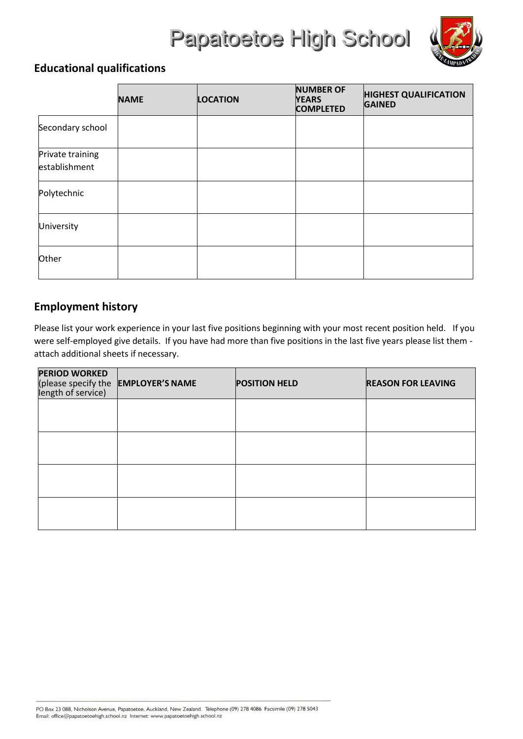

### **Educational qualifications**

|                                   | <b>NAME</b> | <b>LOCATION</b> | <b>NUMBER OF</b><br><b>YEARS</b><br><b>COMPLETED</b> | <b>HIGHEST QUALIFICATION</b><br><b>GAINED</b> |
|-----------------------------------|-------------|-----------------|------------------------------------------------------|-----------------------------------------------|
| Secondary school                  |             |                 |                                                      |                                               |
| Private training<br>establishment |             |                 |                                                      |                                               |
| Polytechnic                       |             |                 |                                                      |                                               |
| University                        |             |                 |                                                      |                                               |
| Other                             |             |                 |                                                      |                                               |

#### **Employment history**

Please list your work experience in your last five positions beginning with your most recent position held. If you were self-employed give details. If you have had more than five positions in the last five years please list them attach additional sheets if necessary.

| <b>PERIOD WORKED</b> | (please specify the EMPLOYER'S NAME<br>length of service) | <b>POSITION HELD</b> | <b>REASON FOR LEAVING</b> |
|----------------------|-----------------------------------------------------------|----------------------|---------------------------|
|                      |                                                           |                      |                           |
|                      |                                                           |                      |                           |
|                      |                                                           |                      |                           |
|                      |                                                           |                      |                           |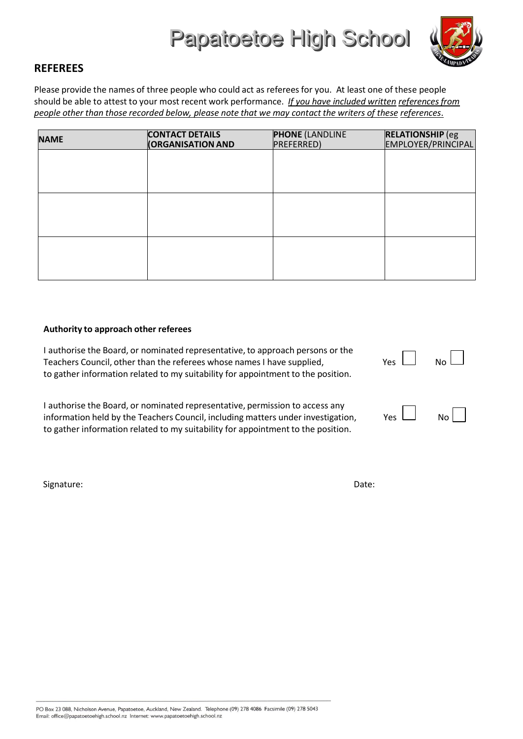

#### **REFEREES**

Please provide the names of three people who could act as referees for you. At least one of these people should be able to attest to your most recent work performance. *If you have included written referencesfrom people other than those recorded below, please note that we may contact the writers of these references*.

| <b>NAME</b> | <b>CONTACT DETAILS</b>   | <b>PHONE (LANDLINE</b> | <b>RELATIONSHIP</b> (eg |  |
|-------------|--------------------------|------------------------|-------------------------|--|
|             | <b>(ORGANISATION AND</b> | PREFERRED)             | EMPLOYER/PRINCIPAL      |  |
|             |                          |                        |                         |  |
|             |                          |                        |                         |  |
|             |                          |                        |                         |  |
|             |                          |                        |                         |  |
|             |                          |                        |                         |  |
|             |                          |                        |                         |  |
|             |                          |                        |                         |  |
|             |                          |                        |                         |  |
|             |                          |                        |                         |  |

#### **Authority to approach other referees**

| I authorise the Board, or nominated representative, to approach persons or the<br>Teachers Council, other than the referees whose names I have supplied,<br>to gather information related to my suitability for appointment to the position. | $Yes \quad No \quad$ |  |
|----------------------------------------------------------------------------------------------------------------------------------------------------------------------------------------------------------------------------------------------|----------------------|--|
| Lauthorise the Board, or nominated representative, permission to access any                                                                                                                                                                  |                      |  |

hated representative, permission to a information held by the Teachers Council, including matters under investigation, Yes  $\Box$  No to gather information related to my suitability for appointment to the position.

Signature: Date: Date: Date: Date: Date: Date: Date: Date: Date: Date: Date: Date: Date: Date: Date: Date: Date: Date: Date: Date: Date: Date: Date: Date: Date: Date: Date: Date: Date: Date: Date: Date: Date: Date: Date: D